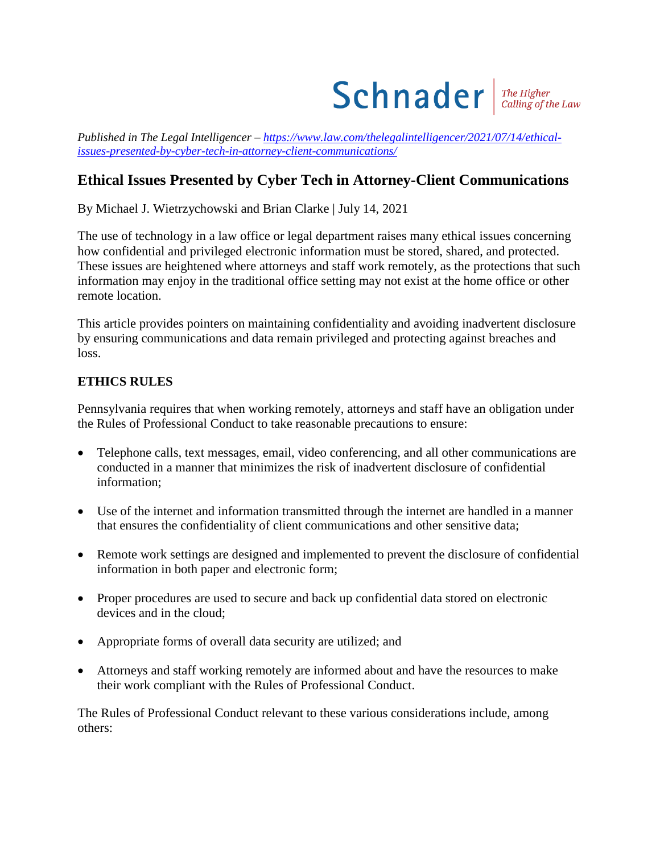

*Published in The Legal Intelligencer – [https://www.law.com/thelegalintelligencer/2021/07/14/ethical](https://www.law.com/thelegalintelligencer/2021/07/14/ethical-issues-presented-by-cyber-tech-in-attorney-client-communications/)[issues-presented-by-cyber-tech-in-attorney-client-communications/](https://www.law.com/thelegalintelligencer/2021/07/14/ethical-issues-presented-by-cyber-tech-in-attorney-client-communications/)*

## **Ethical Issues Presented by Cyber Tech in Attorney-Client Communications**

By Michael J. Wietrzychowski and Brian Clarke | July 14, 2021

The use of technology in a law office or legal department raises many ethical issues concerning how confidential and privileged electronic information must be stored, shared, and protected. These issues are heightened where attorneys and staff work remotely, as the protections that such information may enjoy in the traditional office setting may not exist at the home office or other remote location.

This article provides pointers on maintaining confidentiality and avoiding inadvertent disclosure by ensuring communications and data remain privileged and protecting against breaches and loss.

## **ETHICS RULES**

Pennsylvania requires that when working remotely, attorneys and staff have an obligation under the Rules of Professional Conduct to take reasonable precautions to ensure:

- Telephone calls, text messages, email, video conferencing, and all other communications are conducted in a manner that minimizes the risk of inadvertent disclosure of confidential information;
- Use of the internet and information transmitted through the internet are handled in a manner that ensures the confidentiality of client communications and other sensitive data;
- Remote work settings are designed and implemented to prevent the disclosure of confidential information in both paper and electronic form;
- Proper procedures are used to secure and back up confidential data stored on electronic devices and in the cloud;
- Appropriate forms of overall data security are utilized; and
- Attorneys and staff working remotely are informed about and have the resources to make their work compliant with the Rules of Professional Conduct.

The Rules of Professional Conduct relevant to these various considerations include, among others: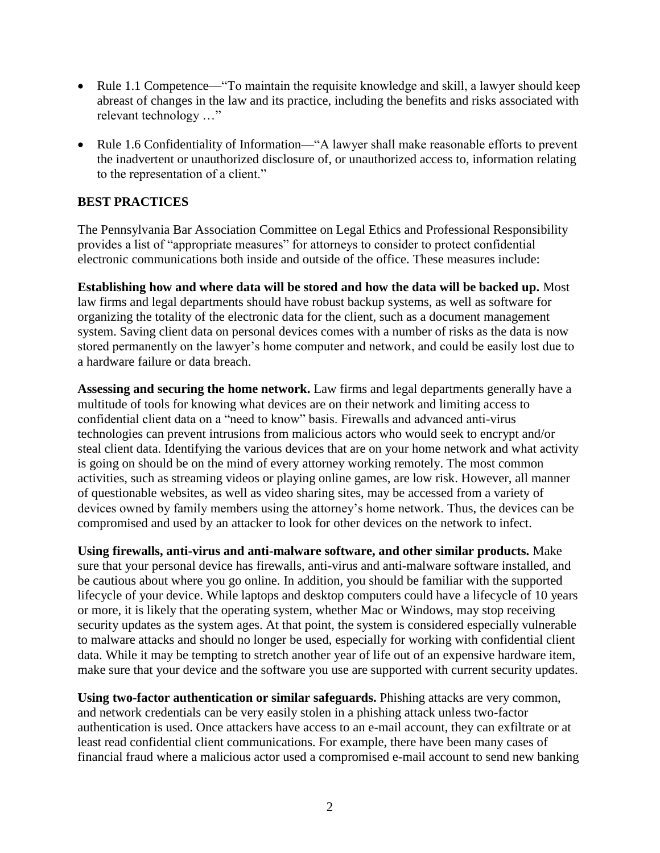- Rule 1.1 Competence—"To maintain the requisite knowledge and skill, a lawyer should keep abreast of changes in the law and its practice, including the benefits and risks associated with relevant technology …"
- Rule 1.6 Confidentiality of Information—"A lawyer shall make reasonable efforts to prevent the inadvertent or unauthorized disclosure of, or unauthorized access to, information relating to the representation of a client."

## **BEST PRACTICES**

The Pennsylvania Bar Association Committee on Legal Ethics and Professional Responsibility provides a list of "appropriate measures" for attorneys to consider to protect confidential electronic communications both inside and outside of the office. These measures include:

**Establishing how and where data will be stored and how the data will be backed up.** Most law firms and legal departments should have robust backup systems, as well as software for organizing the totality of the electronic data for the client, such as a document management system. Saving client data on personal devices comes with a number of risks as the data is now stored permanently on the lawyer's home computer and network, and could be easily lost due to a hardware failure or data breach.

**Assessing and securing the home network.** Law firms and legal departments generally have a multitude of tools for knowing what devices are on their network and limiting access to confidential client data on a "need to know" basis. Firewalls and advanced anti-virus technologies can prevent intrusions from malicious actors who would seek to encrypt and/or steal client data. Identifying the various devices that are on your home network and what activity is going on should be on the mind of every attorney working remotely. The most common activities, such as streaming videos or playing online games, are low risk. However, all manner of questionable websites, as well as video sharing sites, may be accessed from a variety of devices owned by family members using the attorney's home network. Thus, the devices can be compromised and used by an attacker to look for other devices on the network to infect.

**Using firewalls, anti-virus and anti-malware software, and other similar products.** Make sure that your personal device has firewalls, anti-virus and anti-malware software installed, and be cautious about where you go online. In addition, you should be familiar with the supported lifecycle of your device. While laptops and desktop computers could have a lifecycle of 10 years or more, it is likely that the operating system, whether Mac or Windows, may stop receiving security updates as the system ages. At that point, the system is considered especially vulnerable to malware attacks and should no longer be used, especially for working with confidential client data. While it may be tempting to stretch another year of life out of an expensive hardware item, make sure that your device and the software you use are supported with current security updates.

**Using two-factor authentication or similar safeguards.** Phishing attacks are very common, and network credentials can be very easily stolen in a phishing attack unless two-factor authentication is used. Once attackers have access to an e-mail account, they can exfiltrate or at least read confidential client communications. For example, there have been many cases of financial fraud where a malicious actor used a compromised e-mail account to send new banking